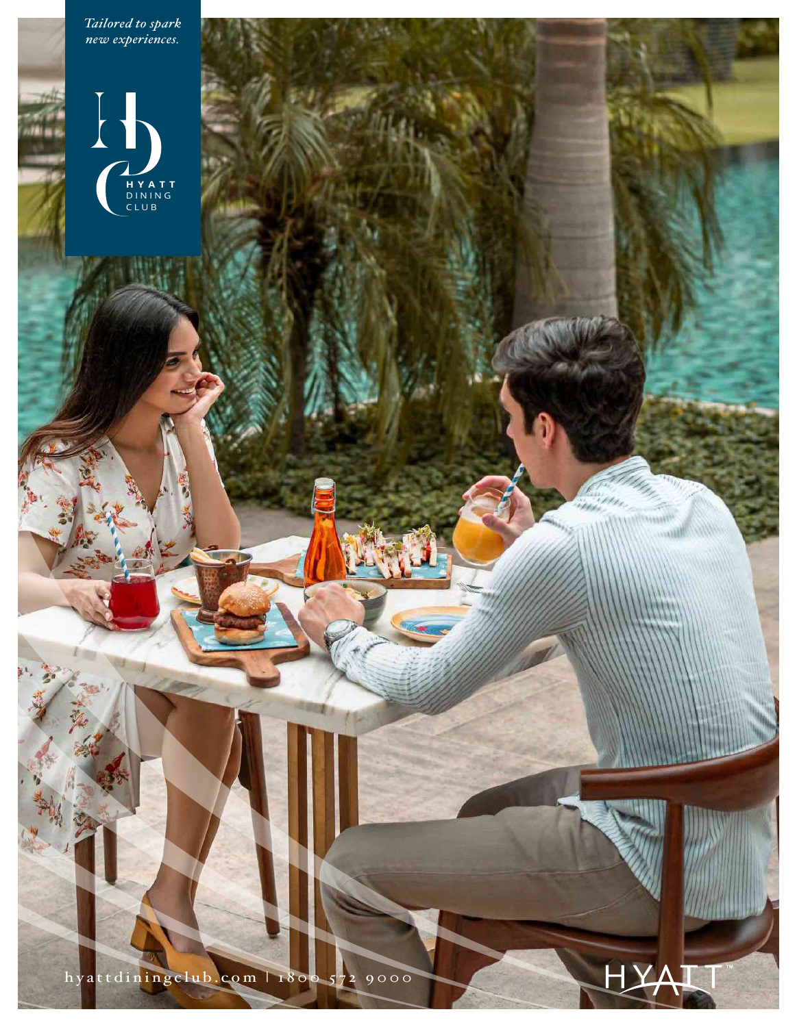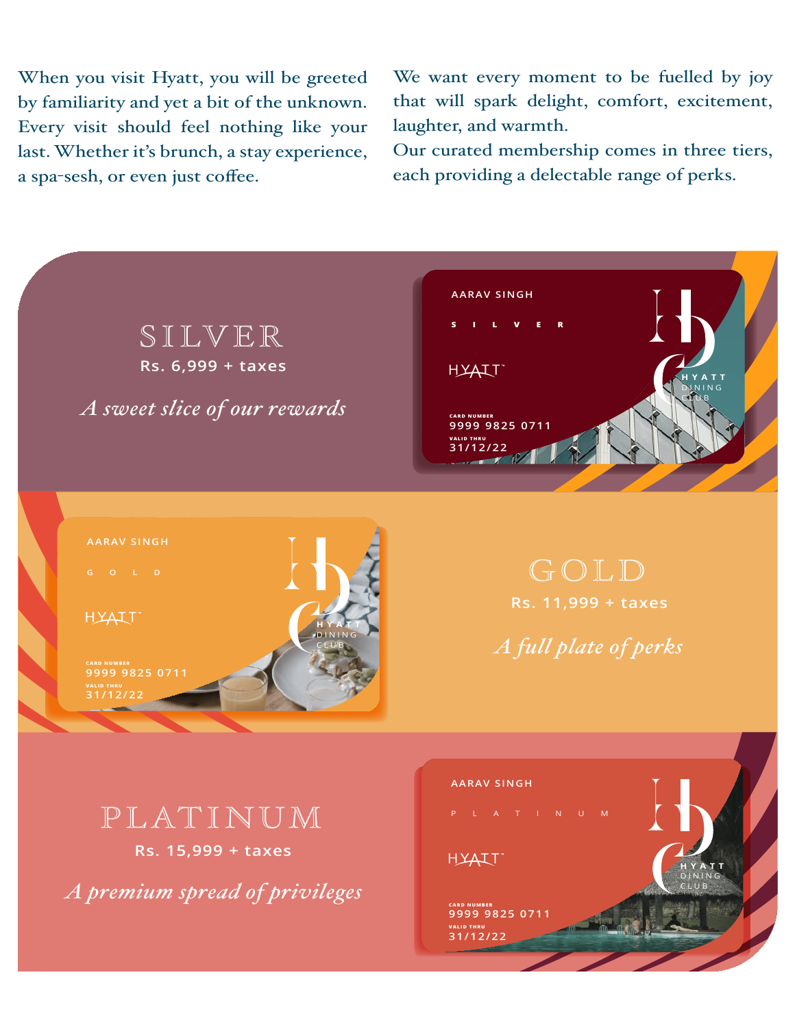When you visit Hyatt, you will be greeted by familiarity and yet a bit of the unknown. Every visit should feel nothing like your last. Whether it's brunch, a stay experience, a spa-sesh, or even just coffee.

We want every moment to be fuelled by joy that will spark delight, comfort, excitement, laughter, and warmth.

Our curated membership comes in three tiers, each providing a delectable range of perks.

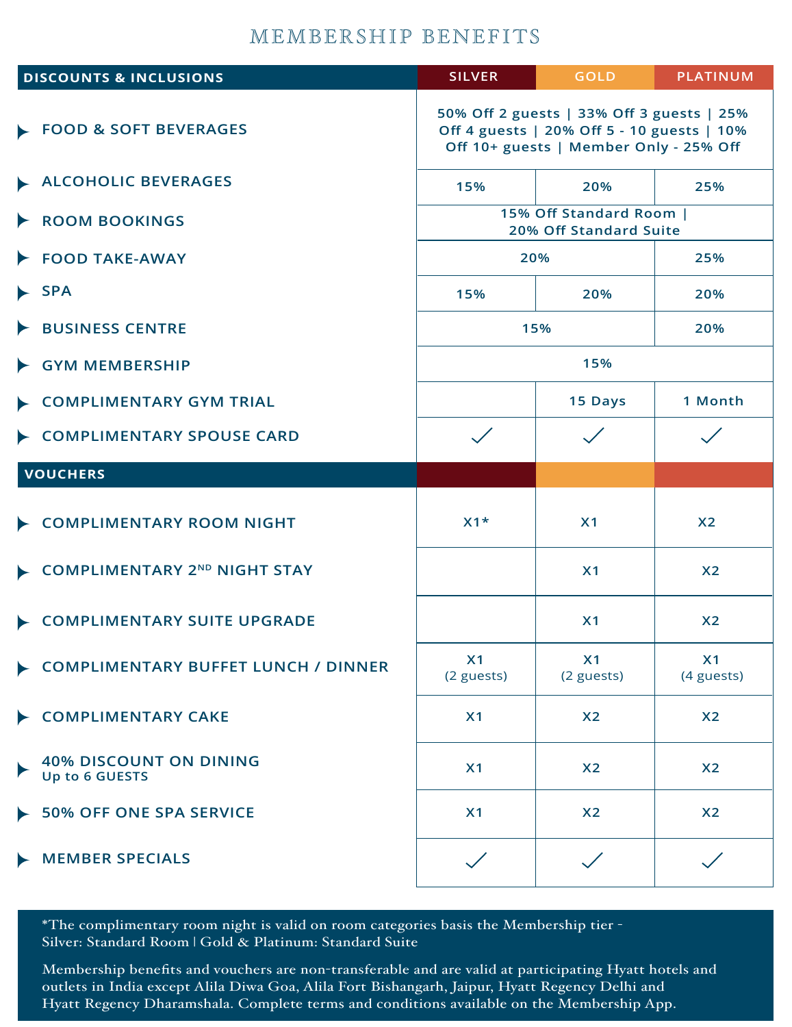## MEMBERSHIP BENEFITS

| <b>DISCOUNTS &amp; INCLUSIONS</b>               | <b>SILVER</b>                                                                                                                     | <b>GOLD</b>      | <b>PLATINUM</b>              |  |
|-------------------------------------------------|-----------------------------------------------------------------------------------------------------------------------------------|------------------|------------------------------|--|
| FOOD & SOFT BEVERAGES                           | 50% Off 2 guests   33% Off 3 guests   25%<br>Off 4 guests   20% Off 5 - 10 guests   10%<br>Off 10+ guests   Member Only - 25% Off |                  |                              |  |
| <b>ALCOHOLIC BEVERAGES</b>                      | 15%                                                                                                                               | 20%              | 25%                          |  |
| <b>ROOM BOOKINGS</b>                            | 15% Off Standard Room  <br>20% Off Standard Suite                                                                                 |                  |                              |  |
| FOOD TAKE-AWAY                                  | 20%                                                                                                                               |                  | 25%                          |  |
| <b>SPA</b>                                      | 15%                                                                                                                               | 20%              | 20%                          |  |
| <b>BUSINESS CENTRE</b>                          | 15%                                                                                                                               |                  | 20%                          |  |
| <b>GYM MEMBERSHIP</b>                           | 15%                                                                                                                               |                  |                              |  |
| <b>COMPLIMENTARY GYM TRIAL</b>                  |                                                                                                                                   | 15 Days          | 1 Month                      |  |
| <b>COMPLIMENTARY SPOUSE CARD</b>                |                                                                                                                                   |                  |                              |  |
| <b>VOUCHERS</b>                                 |                                                                                                                                   |                  |                              |  |
| <b>COMPLIMENTARY ROOM NIGHT</b>                 | $X1*$                                                                                                                             | X <sub>1</sub>   | X <sub>2</sub>               |  |
| <b>COMPLIMENTARY 2ND NIGHT STAY</b>             |                                                                                                                                   | X <sub>1</sub>   | X <sub>2</sub>               |  |
| <b>COMPLIMENTARY SUITE UPGRADE</b>              |                                                                                                                                   | X <sub>1</sub>   | X <sub>2</sub>               |  |
| COMPLIMENTARY BUFFET LUNCH / DINNER             | X <sub>1</sub><br>(2 guests)                                                                                                      | X1<br>(2 guests) | X <sub>1</sub><br>(4 guests) |  |
| <b>COMPLIMENTARY CAKE</b>                       | X <sub>1</sub>                                                                                                                    | X <sub>2</sub>   | X <sub>2</sub>               |  |
| <b>40% DISCOUNT ON DINING</b><br>Up to 6 GUESTS | X1                                                                                                                                | X <sub>2</sub>   | X <sub>2</sub>               |  |
| <b>50% OFF ONE SPA SERVICE</b>                  | X <sub>1</sub>                                                                                                                    | X <sub>2</sub>   | X <sub>2</sub>               |  |
| <b>MEMBER SPECIALS</b>                          |                                                                                                                                   |                  |                              |  |

\*The complimentary room night is valid on room categories basis the Membership tier - Silver: Standard Room | Gold & Platinum: Standard Suite

Membership benefits and vouchers are non-transferable and are valid at participating Hyatt hotels and outlets in India except Alila Diwa Goa, Alila Fort Bishangarh, Jaipur, Hyatt Regency Delhi and Hyatt Regency Dharamshala. Complete terms and conditions available on the Membership App.